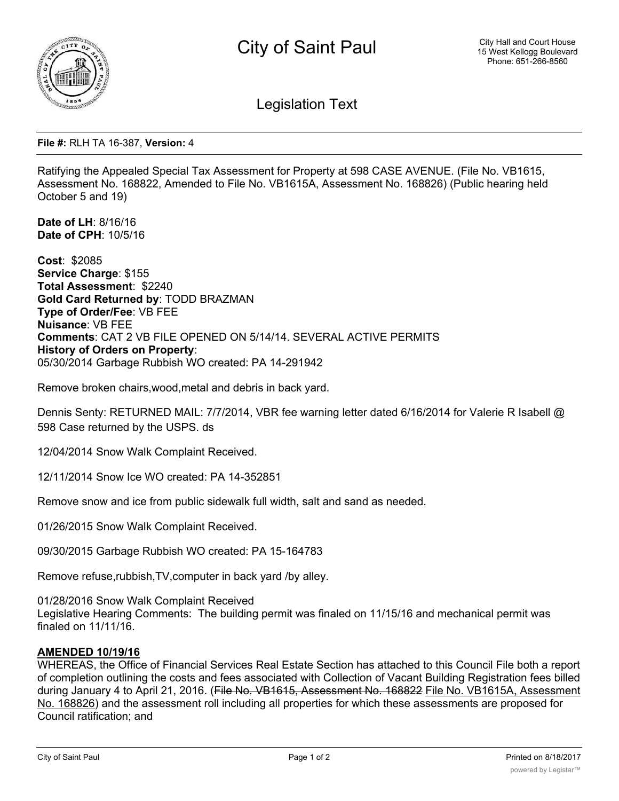

Legislation Text

**File #:** RLH TA 16-387, **Version:** 4

Ratifying the Appealed Special Tax Assessment for Property at 598 CASE AVENUE. (File No. VB1615, Assessment No. 168822, Amended to File No. VB1615A, Assessment No. 168826) (Public hearing held October 5 and 19)

**Date of LH**: 8/16/16 **Date of CPH**: 10/5/16

**Cost**: \$2085 **Service Charge**: \$155 **Total Assessment**: \$2240 **Gold Card Returned by**: TODD BRAZMAN **Type of Order/Fee**: VB FEE **Nuisance**: VB FEE **Comments**: CAT 2 VB FILE OPENED ON 5/14/14. SEVERAL ACTIVE PERMITS **History of Orders on Property**: 05/30/2014 Garbage Rubbish WO created: PA 14-291942

Remove broken chairs,wood,metal and debris in back yard.

Dennis Senty: RETURNED MAIL: 7/7/2014, VBR fee warning letter dated 6/16/2014 for Valerie R Isabell @ 598 Case returned by the USPS. ds

12/04/2014 Snow Walk Complaint Received.

12/11/2014 Snow Ice WO created: PA 14-352851

Remove snow and ice from public sidewalk full width, salt and sand as needed.

01/26/2015 Snow Walk Complaint Received.

09/30/2015 Garbage Rubbish WO created: PA 15-164783

Remove refuse,rubbish,TV,computer in back yard /by alley.

01/28/2016 Snow Walk Complaint Received

Legislative Hearing Comments: The building permit was finaled on 11/15/16 and mechanical permit was finaled on 11/11/16.

## **AMENDED 10/19/16**

WHEREAS, the Office of Financial Services Real Estate Section has attached to this Council File both a report of completion outlining the costs and fees associated with Collection of Vacant Building Registration fees billed during January 4 to April 21, 2016. (File No. VB1615, Assessment No. 168822 File No. VB1615A, Assessment No. 168826) and the assessment roll including all properties for which these assessments are proposed for Council ratification; and